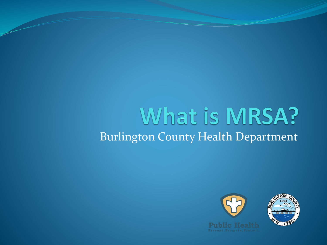#### What is MRSA? Burlington County Health Department

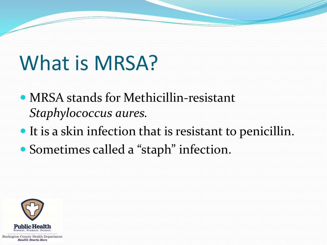# What is MRSA?

- MRSA stands for Methicillin-resistant *Staphylococcus aures.*
- It is a skin infection that is resistant to penicillin.
- Sometimes called a "staph" infection.

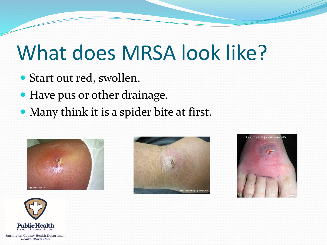#### What does MRSA look like?

- Start out red, swollen.
- Have pus or other drainage.
- Many think it is a spider bite at first.







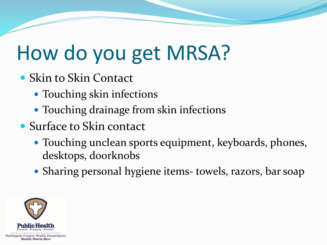#### How do you get MRSA?

- Skin to Skin Contact
	- Touching skin infections
	- Touching drainage from skin infections
- Surface to Skin contact
	- Touching unclean sports equipment, keyboards, phones, desktops, doorknobs
	- Sharing personal hygiene items- towels, razors, bar soap

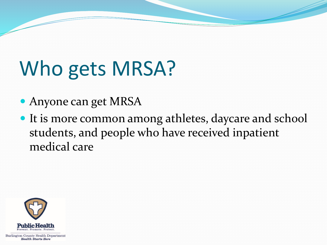# Who gets MRSA?

- Anyone can get MRSA
- It is more common among athletes, daycare and school students, and people who have received inpatient medical care

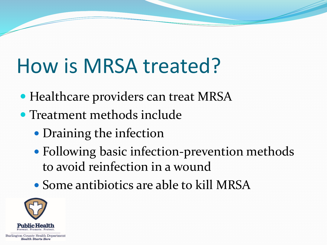## How is MRSA treated?

- Healthcare providers can treat MRSA
- Treatment methods include
	- Draining the infection
	- Following basic infection-prevention methods to avoid reinfection in a wound
	- Some antibiotics are able to kill MRSA

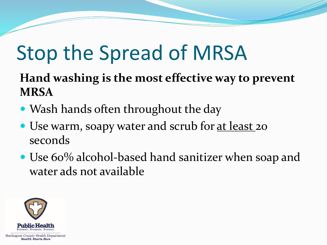#### Stop the Spread of MRSA

#### **Hand washing is the most effective way to prevent MRSA**

- Wash hands often throughout the day
- Use warm, soapy water and scrub for <u>at least</u> 20 seconds
- Use 60% alcohol-based hand sanitizer when soap and water ads not available

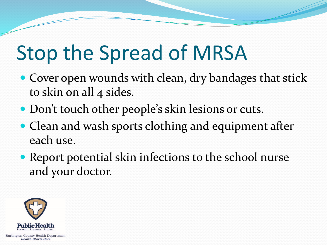### Stop the Spread of MRSA

- Cover open wounds with clean, dry bandages that stick to skin on all 4 sides.
- Don't touch other people's skin lesions or cuts.
- Clean and wash sports clothing and equipment after each use.
- Report potential skin infections to the school nurse and your doctor.